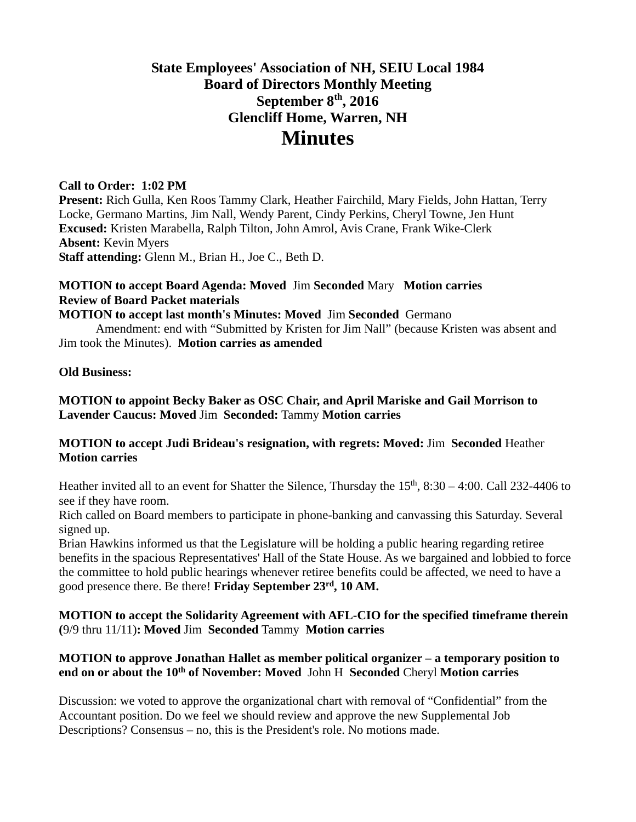# **State Employees' Association of NH, SEIU Local 1984 Board of Directors Monthly Meeting September 8th, 2016 Glencliff Home, Warren, NH Minutes**

#### **Call to Order: 1:02 PM**

**Present:** Rich Gulla, Ken Roos Tammy Clark, Heather Fairchild, Mary Fields, John Hattan, Terry Locke, Germano Martins, Jim Nall, Wendy Parent, Cindy Perkins, Cheryl Towne, Jen Hunt **Excused:** Kristen Marabella, Ralph Tilton, John Amrol, Avis Crane, Frank Wike-Clerk **Absent:** Kevin Myers **Staff attending:** Glenn M., Brian H., Joe C., Beth D.

# **MOTION to accept Board Agenda: Moved** Jim **Seconded** Mary **Motion carries Review of Board Packet materials**

**MOTION to accept last month's Minutes: Moved** Jim **Seconded** Germano

 Amendment: end with "Submitted by Kristen for Jim Nall" (because Kristen was absent and Jim took the Minutes). **Motion carries as amended** 

#### **Old Business:**

#### **MOTION to appoint Becky Baker as OSC Chair, and April Mariske and Gail Morrison to Lavender Caucus: Moved** Jim **Seconded:** Tammy **Motion carries**

#### **MOTION to accept Judi Brideau's resignation, with regrets: Moved:** Jim **Seconded** Heather **Motion carries**

Heather invited all to an event for Shatter the Silence, Thursday the  $15<sup>th</sup>$ ,  $8:30 - 4:00$ . Call 232-4406 to see if they have room.

Rich called on Board members to participate in phone-banking and canvassing this Saturday. Several signed up.

Brian Hawkins informed us that the Legislature will be holding a public hearing regarding retiree benefits in the spacious Representatives' Hall of the State House. As we bargained and lobbied to force the committee to hold public hearings whenever retiree benefits could be affected, we need to have a good presence there. Be there! **Friday September 23rd, 10 AM.**

#### **MOTION to accept the Solidarity Agreement with AFL-CIO for the specified timeframe therein (**9/9 thru 11/11)**: Moved** Jim **Seconded** Tammy **Motion carries**

#### **MOTION to approve Jonathan Hallet as member political organizer – a temporary position to end on or about the 10th of November: Moved** John H **Seconded** Cheryl **Motion carries**

Discussion: we voted to approve the organizational chart with removal of "Confidential" from the Accountant position. Do we feel we should review and approve the new Supplemental Job Descriptions? Consensus – no, this is the President's role. No motions made.